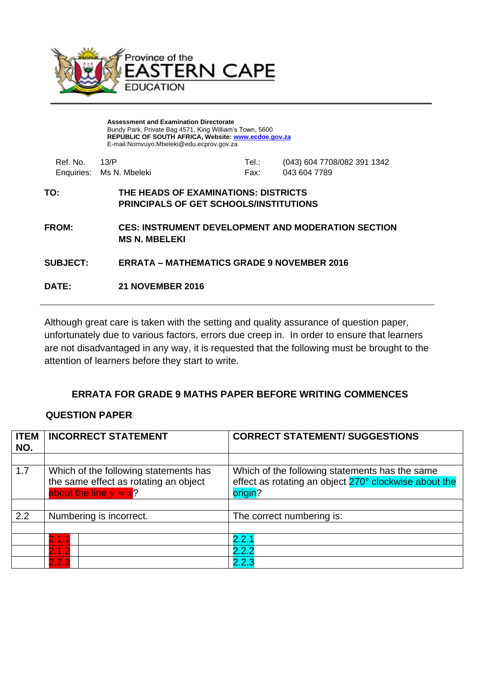

**Assessment and Examination Directorate** Bundy Park, Private Bag 4571, King William's Town, 5600 **REPUBLIC OF SOUTH AFRICA, Website: [www.ecdoe.gov.za](http://www.ecdoe.gov.za/)** E-mail:Nomvuyo.Mbeleki@edu.ecprov.gov.za

| $Ref$ No. $13/P$ |                                                                                       | Tel.∶<br>Fax: | (043) 604 7708/082 391 1342                               |
|------------------|---------------------------------------------------------------------------------------|---------------|-----------------------------------------------------------|
|                  | Enquiries: Ms N. Mbeleki                                                              |               | 043 604 7789                                              |
| TO:              | THE HEADS OF EXAMINATIONS: DISTRICTS<br><b>PRINCIPALS OF GET SCHOOLS/INSTITUTIONS</b> |               |                                                           |
| <b>FROM:</b>     | <b>MS N. MBELEKI</b>                                                                  |               | <b>CES: INSTRUMENT DEVELOPMENT AND MODERATION SECTION</b> |

**SUBJECT: ERRATA – MATHEMATICS GRADE 9 NOVEMBER 2016**

**DATE: 21 NOVEMBER 2016**

Although great care is taken with the setting and quality assurance of question paper, unfortunately due to various factors, errors due creep in. In order to ensure that learners are not disadvantaged in any way, it is requested that the following must be brought to the attention of learners before they start to write.

## **ERRATA FOR GRADE 9 MATHS PAPER BEFORE WRITING COMMENCES**

## **QUESTION PAPER**

| <b>ITEM</b><br>NO. | <b>INCORRECT STATEMENT</b>                                                                                 | <b>CORRECT STATEMENT/ SUGGESTIONS</b>                                                                              |
|--------------------|------------------------------------------------------------------------------------------------------------|--------------------------------------------------------------------------------------------------------------------|
|                    |                                                                                                            |                                                                                                                    |
| 1.7                | Which of the following statements has<br>the same effect as rotating an object<br>about the line $y = x$ ? | Which of the following statements has the same<br>effect as rotating an object 270° clockwise about the<br>origin? |
|                    |                                                                                                            |                                                                                                                    |
| 2.2                | Numbering is incorrect.                                                                                    | The correct numbering is:                                                                                          |
|                    |                                                                                                            |                                                                                                                    |
|                    | 2.1.1                                                                                                      | 2.2.1                                                                                                              |
|                    | 2.1.2                                                                                                      | 222                                                                                                                |
|                    | 2.2.2                                                                                                      | 2.2.3                                                                                                              |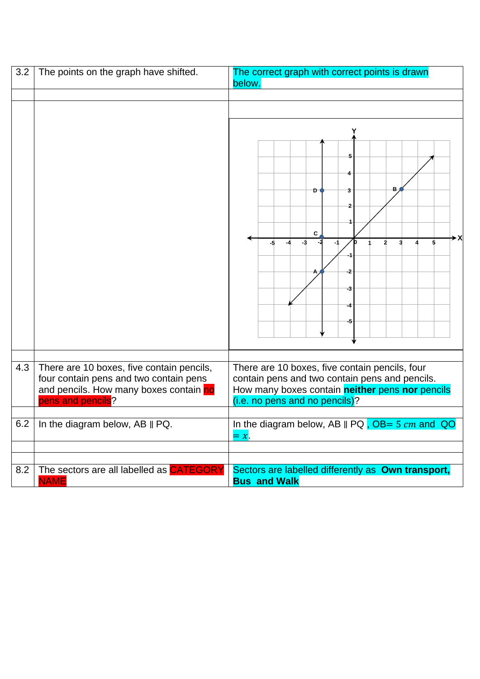| 3.2 | The points on the graph have shifted.                                                                                                              | The correct graph with correct points is drawn<br>below.                                                                                                                                     |  |
|-----|----------------------------------------------------------------------------------------------------------------------------------------------------|----------------------------------------------------------------------------------------------------------------------------------------------------------------------------------------------|--|
|     |                                                                                                                                                    |                                                                                                                                                                                              |  |
|     |                                                                                                                                                    |                                                                                                                                                                                              |  |
|     |                                                                                                                                                    | в<br>D<br>$\mathbf{C}$<br>-3<br>$\mathbf{3}$<br>\$<br>2<br>-5<br>-3                                                                                                                          |  |
| 4.3 | There are 10 boxes, five contain pencils,<br>four contain pens and two contain pens<br>and pencils. How many boxes contain no<br>pens and pencils? | There are 10 boxes, five contain pencils, four<br>contain pens and two contain pens and pencils.<br>How many boxes contain <b>neither</b> pens nor pencils<br>(i.e. no pens and no pencils)? |  |
| 6.2 | In the diagram below, AB    PQ.                                                                                                                    | In the diagram below, AB $\parallel$ PQ , OB= 5 cm and QO<br>$=x$ .                                                                                                                          |  |
| 8.2 | The sectors are all labelled as <b>CATEGORY</b><br><b>NAME</b>                                                                                     | Sectors are labelled differently as Own transport,<br><b>Bus and Walk</b>                                                                                                                    |  |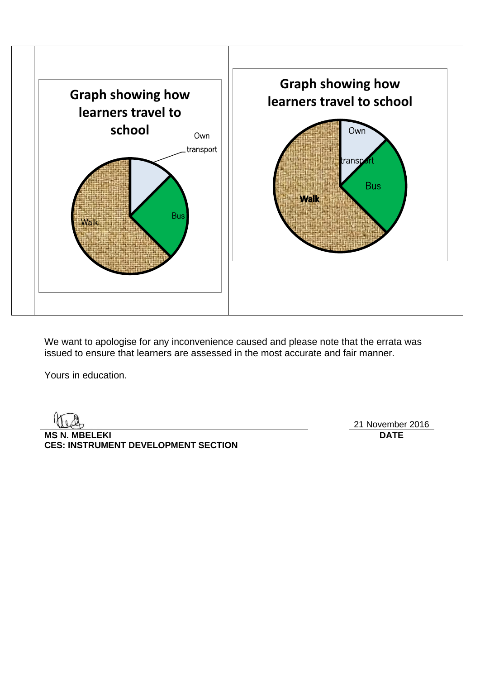

We want to apologise for any inconvenience caused and please note that the errata was issued to ensure that learners are assessed in the most accurate and fair manner.

Yours in education.

**MS N. MBELEKI DATE CES: INSTRUMENT DEVELOPMENT SECTION**

21 November 2016